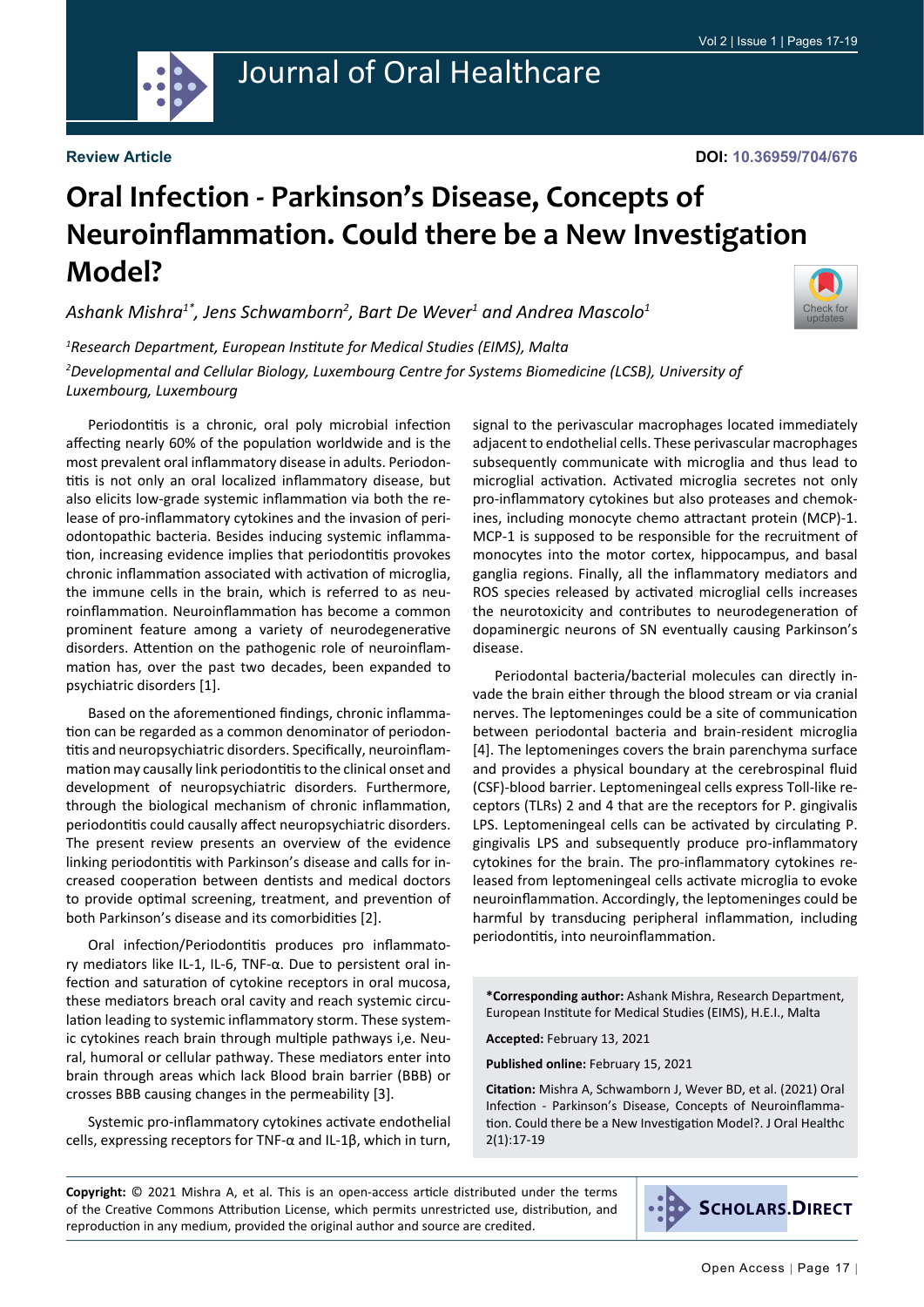

# Journal of Oral Healthcare

#### **Review Article**

### **DOI: 10.36959/704/676**

[Check for](http://crossmark.crossref.org/dialog/?doi=10.36959/704/676&domain=pdf) updates

# **Oral Infection - Parkinson's Disease, Concepts of Neuroinflammation. Could there be a New Investigation Model?**

*Ashank Mishra1\*, Jens Schwamborn2 , Bart De Wever1 and Andrea Mascolo1*

*1 Research Department, European Institute for Medical Studies (EIMS), Malta 2 Developmental and Cellular Biology, Luxembourg Centre for Systems Biomedicine (LCSB), University of Luxembourg, Luxembourg*

Periodontitis is a chronic, oral poly microbial infection affecting nearly 60% of the population worldwide and is the most prevalent oral inflammatory disease in adults. Periodontitis is not only an oral localized inflammatory disease, but also elicits low-grade systemic inflammation via both the release of pro-inflammatory cytokines and the invasion of periodontopathic bacteria. Besides inducing systemic inflammation, increasing evidence implies that periodontitis provokes chronic inflammation associated with activation of microglia, the immune cells in the brain, which is referred to as neuroinflammation. Neuroinflammation has become a common prominent feature among a variety of neurodegenerative disorders. Attention on the pathogenic role of neuroinflammation has, over the past two decades, been expanded to psychiatric disorders [1].

Based on the aforementioned findings, chronic inflammation can be regarded as a common denominator of periodontitis and neuropsychiatric disorders. Specifically, neuroinflammation may causally link periodontitis to the clinical onset and development of neuropsychiatric disorders. Furthermore, through the biological mechanism of chronic inflammation, periodontitis could causally affect neuropsychiatric disorders. The present review presents an overview of the evidence linking periodontitis with Parkinson's disease and calls for increased cooperation between dentists and medical doctors to provide optimal screening, treatment, and prevention of both Parkinson's disease and its comorbidities [2].

Oral infection/Periodontitis produces pro inflammatory mediators like IL-1, IL-6, TNF-α. Due to persistent oral infection and saturation of cytokine receptors in oral mucosa, these mediators breach oral cavity and reach systemic circulation leading to systemic inflammatory storm. These systemic cytokines reach brain through multiple pathways i,e. Neural, humoral or cellular pathway. These mediators enter into brain through areas which lack Blood brain barrier (BBB) or crosses BBB causing changes in the permeability [3].

Systemic pro-inflammatory cytokines activate endothelial cells, expressing receptors for TNF-α and IL-1β, which in turn,

signal to the perivascular macrophages located immediately adjacent to endothelial cells. These perivascular macrophages subsequently communicate with microglia and thus lead to microglial activation. Activated microglia secretes not only pro-inflammatory cytokines but also proteases and chemokines, including monocyte chemo attractant protein (MCP)-1. MCP-1 is supposed to be responsible for the recruitment of monocytes into the motor cortex, hippocampus, and basal ganglia regions. Finally, all the inflammatory mediators and ROS species released by activated microglial cells increases the neurotoxicity and contributes to neurodegeneration of dopaminergic neurons of SN eventually causing Parkinson's disease.

Periodontal bacteria/bacterial molecules can directly invade the brain either through the blood stream or via cranial nerves. The leptomeninges could be a site of communication between periodontal bacteria and brain-resident microglia [4]. The leptomeninges covers the brain parenchyma surface and provides a physical boundary at the cerebrospinal fluid (CSF)-blood barrier. Leptomeningeal cells express Toll-like receptors (TLRs) 2 and 4 that are the receptors for P. gingivalis LPS. Leptomeningeal cells can be activated by circulating P. gingivalis LPS and subsequently produce pro-inflammatory cytokines for the brain. The pro-inflammatory cytokines released from leptomeningeal cells activate microglia to evoke neuroinflammation. Accordingly, the leptomeninges could be harmful by transducing peripheral inflammation, including periodontitis, into neuroinflammation.

**\*Corresponding author:** Ashank Mishra, Research Department, European Institute for Medical Studies (EIMS), H.E.I., Malta

**Accepted:** February 13, 2021

**Published online:** February 15, 2021

**Citation:** Mishra A, Schwamborn J, Wever BD, et al. (2021) Oral Infection - Parkinson's Disease, Concepts of Neuroinflammation. Could there be a New Investigation Model?. J Oral Healthc 2(1):17-19

**Copyright:** © 2021 Mishra A, et al. This is an open-access article distributed under the terms of the Creative Commons Attribution License, which permits unrestricted use, distribution, and reproduction in any medium, provided the original author and source are credited.

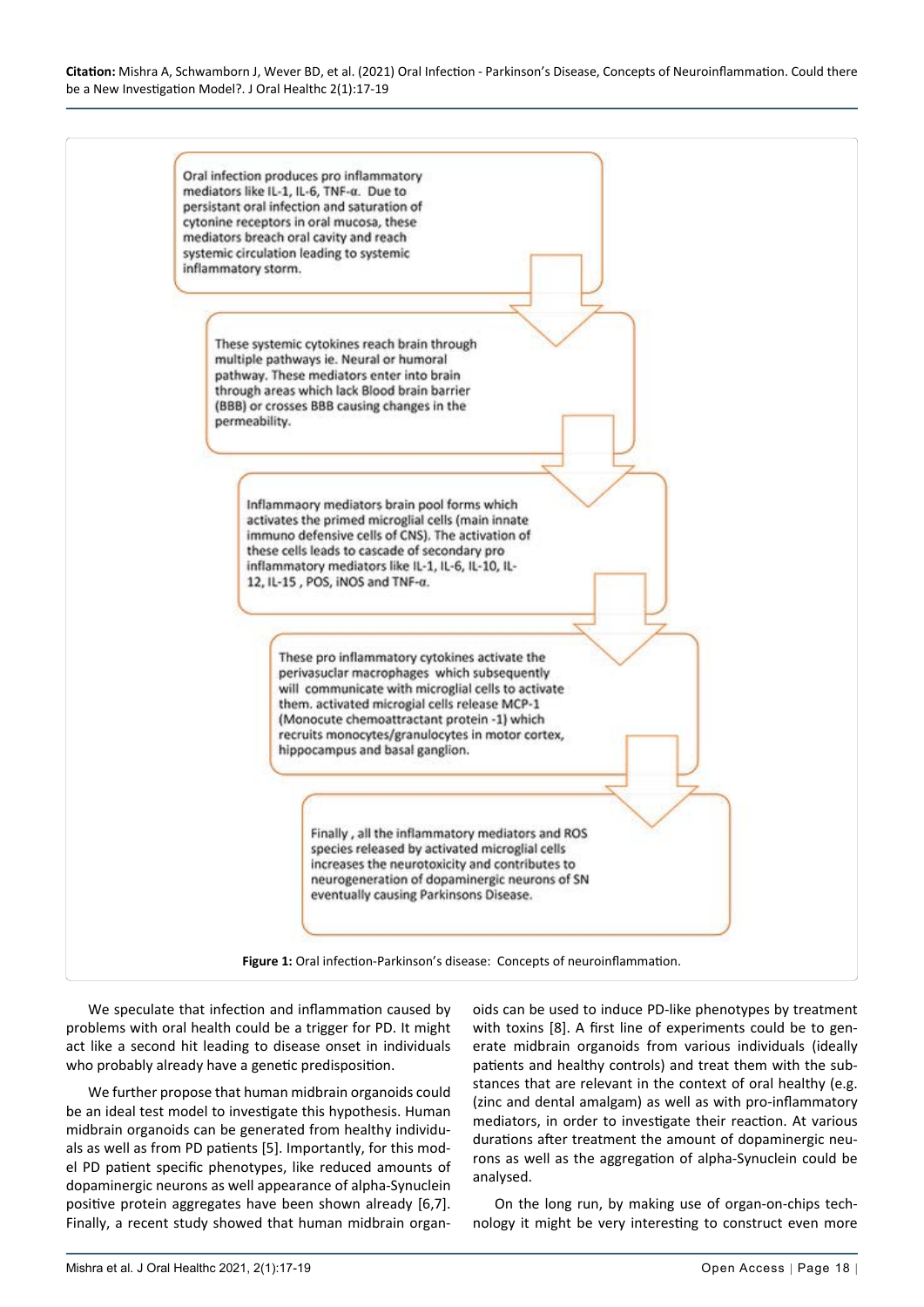#### **Citation:** Mishra A, Schwamborn J, Wever BD, et al. (2021) Oral Infection - Parkinson's Disease, Concepts of Neuroinflammation. Could there be a New Investigation Model?. J Oral Healthc 2(1):17-19



We speculate that infection and inflammation caused by problems with oral health could be a trigger for PD. It might act like a second hit leading to disease onset in individuals who probably already have a genetic predisposition.

We further propose that human midbrain organoids could be an ideal test model to investigate this hypothesis. Human midbrain organoids can be generated from healthy individuals as well as from PD patients [5]. Importantly, for this model PD patient specific phenotypes, like reduced amounts of dopaminergic neurons as well appearance of alpha-Synuclein positive protein aggregates have been shown already [6,7]. Finally, a recent study showed that human midbrain organ-

oids can be used to induce PD-like phenotypes by treatment with toxins [8]. A first line of experiments could be to generate midbrain organoids from various individuals (ideally patients and healthy controls) and treat them with the substances that are relevant in the context of oral healthy (e.g. (zinc and dental amalgam) as well as with pro-inflammatory mediators, in order to investigate their reaction. At various durations after treatment the amount of dopaminergic neurons as well as the aggregation of alpha-Synuclein could be analysed.

On the long run, by making use of organ-on-chips technology it might be very interesting to construct even more